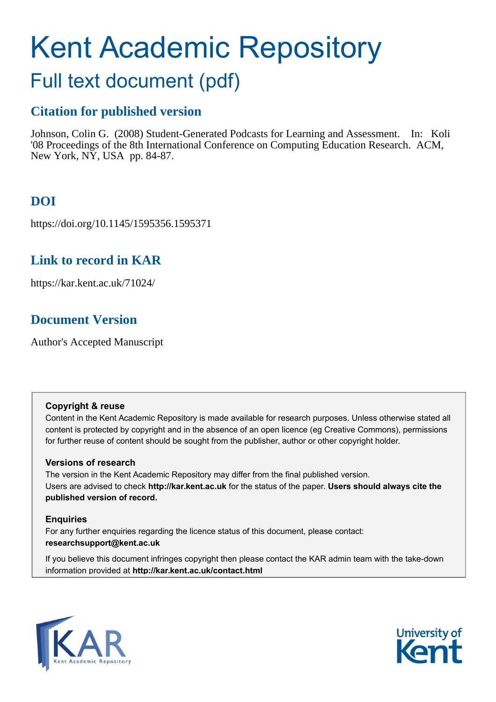# Kent Academic Repository

## Full text document (pdf)

## **Citation for published version**

Johnson, Colin G. (2008) Student-Generated Podcasts for Learning and Assessment. In: Koli '08 Proceedings of the 8th International Conference on Computing Education Research. ACM, New York, NY, USA pp. 84-87.

## **DOI**

https://doi.org/10.1145/1595356.1595371

## **Link to record in KAR**

https://kar.kent.ac.uk/71024/

## **Document Version**

Author's Accepted Manuscript

#### **Copyright & reuse**

Content in the Kent Academic Repository is made available for research purposes. Unless otherwise stated all content is protected by copyright and in the absence of an open licence (eg Creative Commons), permissions for further reuse of content should be sought from the publisher, author or other copyright holder.

#### **Versions of research**

The version in the Kent Academic Repository may differ from the final published version. Users are advised to check **http://kar.kent.ac.uk** for the status of the paper. **Users should always cite the published version of record.**

#### **Enquiries**

For any further enquiries regarding the licence status of this document, please contact: **researchsupport@kent.ac.uk**

If you believe this document infringes copyright then please contact the KAR admin team with the take-down information provided at **http://kar.kent.ac.uk/contact.html**



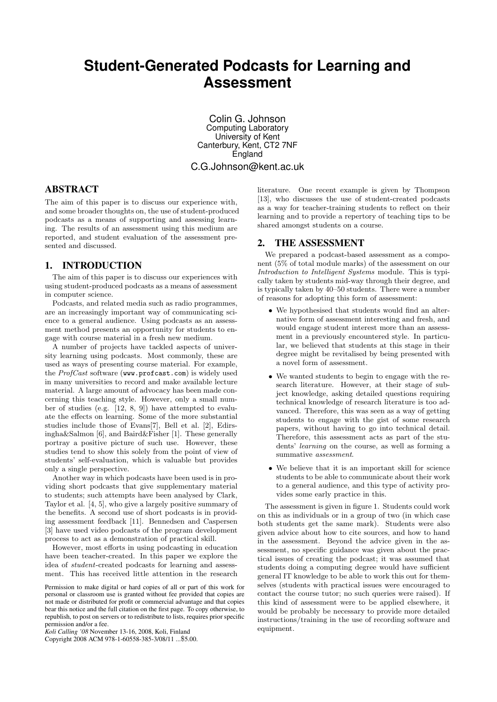## **Student-Generated Podcasts for Learning and Assessment**

Colin G. Johnson Computing Laboratory University of Kent Canterbury, Kent, CT2 7NF England C.G.Johnson@kent.ac.uk

#### ABSTRACT

The aim of this paper is to discuss our experience with, and some broader thoughts on, the use of student-produced podcasts as a means of supporting and assessing learning. The results of an assessment using this medium are reported, and student evaluation of the assessment presented and discussed.

#### 1. INTRODUCTION

The aim of this paper is to discuss our experiences with using student-produced podcasts as a means of assessment in computer science.

Podcasts, and related media such as radio programmes, are an increasingly important way of communicating science to a general audience. Using podcasts as an assessment method presents an opportunity for students to engage with course material in a fresh new medium.

A number of projects have tackled aspects of university learning using podcasts. Most commonly, these are used as ways of presenting course material. For example, the *ProfCast* software (www.profcast.com) is widely used in many universities to record and make available lecture material. A large amount of advocacy has been made concerning this teaching style. However, only a small number of studies (e.g. [12, 8, 9]) have attempted to evaluate the effects on learning. Some of the more substantial studies include those of Evans[7], Bell et al. [2], Edirsingha&Salmon [6], and Baird&Fisher [1]. These generally portray a positive picture of such use. However, these studies tend to show this solely from the point of view of students' self-evaluation, which is valuable but provides only a single perspective.

Another way in which podcasts have been used is in providing short podcasts that give supplementary material to students; such attempts have been analysed by Clark, Taylor et al. [4, 5], who give a largely positive summary of the benefits. A second use of short podcasts is in providing assessment feedback [11]. Bennedsen and Caspersen [3] have used video podcasts of the program development process to act as a demonstration of practical skill.

However, most efforts in using podcasting in education have been teacher-created. In this paper we explore the idea of *student*-created podcasts for learning and assessment. This has received little attention in the research

*Koli Calling '08* November 13-16, 2008, Koli, Finland

Copyright 2008 ACM 978-1-60558-385-3/08/11 ...\$5.00.

literature. One recent example is given by Thompson [13], who discusses the use of student-created podcasts as a way for teacher-training students to reflect on their learning and to provide a repertory of teaching tips to be shared amongst students on a course.

#### 2. THE ASSESSMENT

We prepared a podcast-based assessment as a component (5% of total module marks) of the assessment on our *Introduction to Intelligent Systems* module. This is typically taken by students mid-way through their degree, and is typically taken by 40–50 students. There were a number of reasons for adopting this form of assessment:

- We hypothesised that students would find an alternative form of assessment interesting and fresh, and would engage student interest more than an assessment in a previously encountered style. In particular, we believed that students at this stage in their degree might be revitalised by being presented with a novel form of assessment.
- We wanted students to begin to engage with the research literature. However, at their stage of subject knowledge, asking detailed questions requiring technical knowledge of research literature is too advanced. Therefore, this was seen as a way of getting students to engage with the gist of some research papers, without having to go into technical detail. Therefore, this assessment acts as part of the students' *learning* on the course, as well as forming a summative *assessment*.
- We believe that it is an important skill for science students to be able to communicate about their work to a general audience, and this type of activity provides some early practice in this.

The assessment is given in figure 1. Students could work on this as individuals or in a group of two (in which case both students get the same mark). Students were also given advice about how to cite sources, and how to hand in the assessment. Beyond the advice given in the assessment, no specific guidance was given about the practical issues of creating the podcast; it was assumed that students doing a computing degree would have sufficient general IT knowledge to be able to work this out for themselves (students with practical issues were encouraged to contact the course tutor; no such queries were raised). If this kind of assessment were to be applied elsewhere, it would be probably be necessary to provide more detailed instructions/training in the use of recording software and equipment.

Permission to make digital or hard copies of all or part of this work for personal or classroom use is granted without fee provided that copies are not made or distributed for profit or commercial advantage and that copies bear this notice and the full citation on the first page. To copy otherwise, to republish, to post on servers or to redistribute to lists, requires prior specific permission and/or a fee.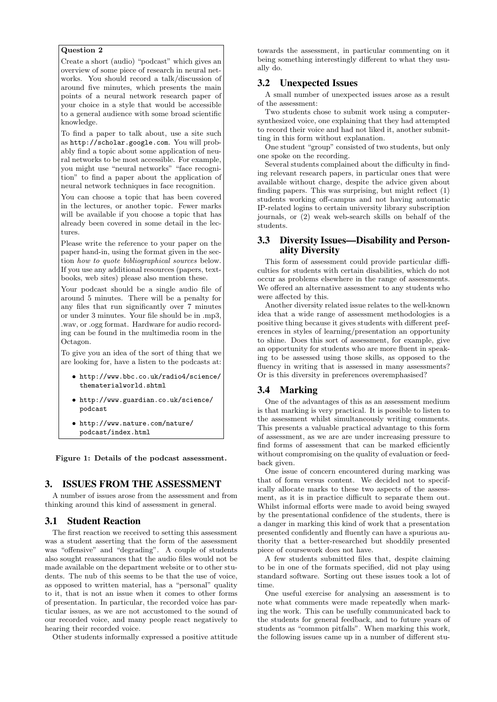#### Question 2

Create a short (audio) "podcast" which gives an overview of some piece of research in neural networks. You should record a talk/discussion of around five minutes, which presents the main points of a neural network research paper of your choice in a style that would be accessible to a general audience with some broad scientific knowledge.

To find a paper to talk about, use a site such as http://scholar.google.com. You will probably find a topic about some application of neural networks to be most accessible. For example, you might use "neural networks" "face recognition" to find a paper about the application of neural network techniques in face recognition.

You can choose a topic that has been covered in the lectures, or another topic. Fewer marks will be available if you choose a topic that has already been covered in some detail in the lectures.

Please write the reference to your paper on the paper hand-in, using the format given in the section *how to quote bibliographical sources* below. If you use any additional resources (papers, textbooks, web sites) please also mention these.

Your podcast should be a single audio file of around 5 minutes. There will be a penalty for any files that run significantly over 7 minutes or under 3 minutes. Your file should be in .mp3, .wav, or .ogg format. Hardware for audio recording can be found in the multimedia room in the Octagon.

To give you an idea of the sort of thing that we are looking for, have a listen to the podcasts at:

- http://www.bbc.co.uk/radio4/science/ thematerialworld.shtml
- http://www.guardian.co.uk/science/ podcast
- http://www.nature.com/nature/ podcast/index.html

Figure 1: Details of the podcast assessment.

#### 3. ISSUES FROM THE ASSESSMENT

A number of issues arose from the assessment and from thinking around this kind of assessment in general.

#### 3.1 Student Reaction

The first reaction we received to setting this assessment was a student asserting that the form of the assessment was "offensive" and "degrading". A couple of students also sought reassurances that the audio files would not be made available on the department website or to other students. The nub of this seems to be that the use of voice, as opposed to written material, has a "personal" quality to it, that is not an issue when it comes to other forms of presentation. In particular, the recorded voice has particular issues, as we are not accustomed to the sound of our recorded voice, and many people react negatively to hearing their recorded voice.

Other students informally expressed a positive attitude

towards the assessment, in particular commenting on it being something interestingly different to what they usually do.

#### 3.2 Unexpected Issues

A small number of unexpected issues arose as a result of the assessment:

Two students chose to submit work using a computersynthesized voice, one explaining that they had attempted to record their voice and had not liked it, another submitting in this form without explanation.

One student "group" consisted of two students, but only one spoke on the recording.

Several students complained about the difficulty in finding relevant research papers, in particular ones that were available without charge, despite the advice given about finding papers. This was surprising, but might reflect (1) students working off-campus and not having automatic IP-related logins to certain university library subscription journals, or (2) weak web-search skills on behalf of the students.

#### 3.3 Diversity Issues—Disability and Personality Diversity

This form of assessment could provide particular difficulties for students with certain disabilities, which do not occur as problems elsewhere in the range of assessments. We offered an alternative assessment to any students who were affected by this.

Another diversity related issue relates to the well-known idea that a wide range of assessment methodologies is a positive thing because it gives students with different preferences in styles of learning/presentation an opportunity to shine. Does this sort of assessment, for example, give an opportunity for students who are more fluent in speaking to be assessed using those skills, as opposed to the fluency in writing that is assessed in many assessments? Or is this diversity in preferences overemphasised?

#### 3.4 Marking

One of the advantages of this as an assessment medium is that marking is very practical. It is possible to listen to the assessment whilst simultaneously writing comments. This presents a valuable practical advantage to this form of assessment, as we are are under increasing pressure to find forms of assessment that can be marked efficiently without compromising on the quality of evaluation or feedback given.

One issue of concern encountered during marking was that of form versus content. We decided not to specifically allocate marks to these two aspects of the assessment, as it is in practice difficult to separate them out. Whilst informal efforts were made to avoid being swayed by the presentational confidence of the students, there is a danger in marking this kind of work that a presentation presented confidently and fluently can have a spurious authority that a better-researched but shoddily presented piece of coursework does not have.

A few students submitted files that, despite claiming to be in one of the formats specified, did not play using standard software. Sorting out these issues took a lot of time.

One useful exercise for analysing an assessment is to note what comments were made repeatedly when marking the work. This can be usefully communicated back to the students for general feedback, and to future years of students as "common pitfalls". When marking this work, the following issues came up in a number of different stu-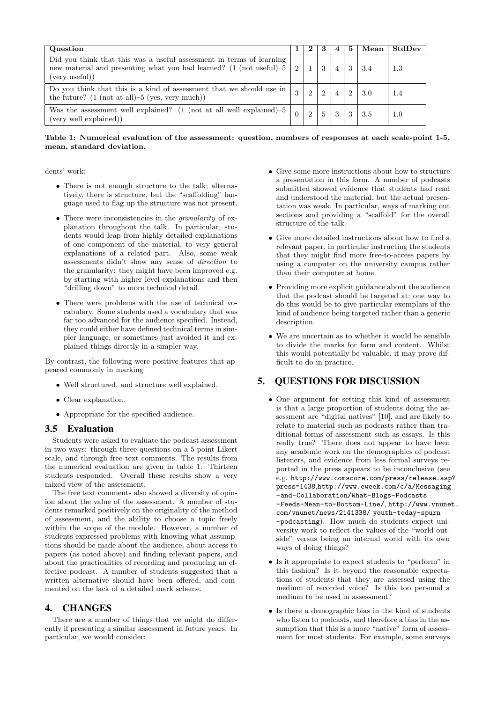| Question                                                                                                                                                      |               | z | -3 | 4 | 5 | Mean | StdDev |
|---------------------------------------------------------------------------------------------------------------------------------------------------------------|---------------|---|----|---|---|------|--------|
| Did you think that this was a useful assessment in terms of learning<br>new material and presenting what you had learned? (1 (not useful)-5<br>(very useful)) | $\mathcal{D}$ |   | 3  |   |   |      | 1.3    |
| Do you think that this is a kind of assessment that we should use in<br>the future? $(1 \text{ (not at all)}-5 \text{ (yes, very much)})$                     |               |   |    |   |   |      |        |
| Was the assessment well explained? $(1 \text{ (not at all well explained)}-5$<br>(very well explained))                                                       |               |   |    | 3 |   |      | 1.0    |

Table 1: Numerical evaluation of the assessment: question, numbers of responses at each scale-point 1-5, mean, standard deviation.

dents' work:

- There is not enough structure to the talk; alternatively, there is structure, but the "scaffolding" language used to flag up the structure was not present.
- There were inconsistencies in the *granularity* of explanation throughout the talk. In particular, students would leap from highly detailed explanations of one component of the material, to very general explanations of a related part. Also, some weak assessments didn't show any sense of *direction* to the granularity: they might have been improved e.g. by starting with higher level explanations and then "drilling down" to more technical detail.
- There were problems with the use of technical vocabulary. Some students used a vocabulary that was far too advanced for the audience specified. Instead, they could either have defined technical terms in simpler language, or sometimes just avoided it and explained things directly in a simpler way.

By contrast, the following were positive features that appeared commonly in marking

- Well structured, and structure well explained.
- Clear explanation.
- Appropriate for the specified audience.

#### 3.5 Evaluation

Students were asked to evaluate the podcast assessment in two ways: through three questions on a 5-point Likert scale, and through free text comments. The results from the numerical evaluation are given in table 1. Thirteen students responded. Overall these results show a very mixed view of the assessment.

The free text comments also showed a diversity of opinion about the value of the assessment. A number of students remarked positively on the originality of the method of assessment, and the ability to choose a topic freely within the scope of the module. However, a number of students expressed problems with knowing what assumptions should be made about the audience, about access to papers (as noted above) and finding relevant papers, and about the practicalities of recording and producing an effective podcast. A number of students suggested that a written alternative should have been offered, and commented on the lack of a detailed mark scheme.

#### 4. CHANGES

There are a number of things that we might do differently if presenting a similar assessment in future years. In particular, we would consider:

- Give some more instructions about how to structure a presentation in this form. A number of podcasts submitted showed evidence that students had read and understood the material, but the actual presentation was weak. In particular, ways of marking out sections and providing a "scaffold" for the overall structure of the talk.
- Give more detailed instructions about how to find a relevant paper, in particular instructing the students that they might find more free-to-access papers by using a computer on the university campus rather than their computer at home.
- Providing more explicit guidance about the audience that the podcast should be targeted at; one way to do this would be to give particular exemplars of the kind of audience being targeted rather than a generic description.
- We are uncertain as to whether it would be sensible to divide the marks for form and content. Whilst this would potentially be valuable, it may prove difficult to do in practice.

#### 5. QUESTIONS FOR DISCUSSION

- One argument for setting this kind of assessment is that a large proportion of students doing the assessment are "digital natives" [10], and are likely to relate to material such as podcasts rather than traditional forms of assessment such as essays. Is this really true? There does not appear to have been any academic work on the demographics of podcast listeners, and evidence from less formal surveys reported in the press appears to be inconclusive (see e.g. http://www.comscore.com/press/release.asp? press=1438,http://www.eweek.com/c/a/Messaging -and-Collaboration/What-Blogs-Podcasts -Feeds-Mean-to-Bottom-Line/, http://www.vnunet. com/vnunet/news/2141338/ youth-today-spurn -podcasting). How much do students expect university work to reflect the values of the "world outside" versus being an internal world with its own ways of doing things?
- Is it appropriate to expect students to "perform" in this fashion? Is it beyond the reasonable expectations of students that they are assessed using the medium of recorded voice? Is this too personal a medium to be used in assessment?
- Is there a demographic bias in the kind of students who listen to podcasts, and therefore a bias in the assumption that this is a more "native" form of assessment for most students. For example, some surveys